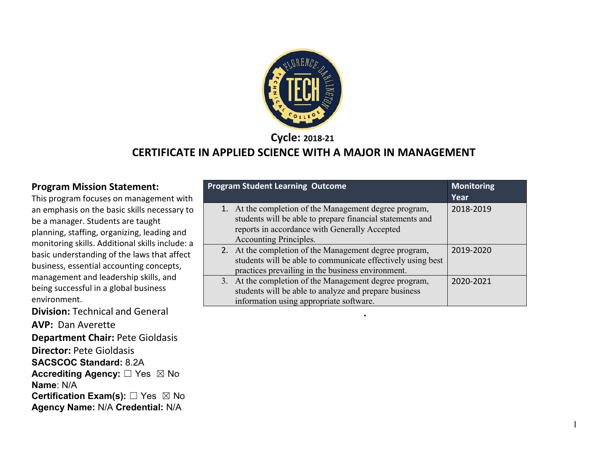

**Cycle: 2018-21**

#### **CERTIFICATE IN APPLIED SCIENCE WITH A MAJOR IN MANAGEMENT**

#### **Program Mission Statement:**

This program focuses on management with an emphasis on the basic skills necessary to be a manager. Students are taught planning, staffing, organizing, leading and monitoring skills. Additional skills include: a basic understanding of the laws that affect business, essential accounting concepts, management and leadership skills, and being successful in a global business environment.

**Division:** Technical and General **.**

**AVP:** Dan Averette **Department Chair:** Pete Gioldasis

**Director:** Pete Gioldasis

**SACSCOC Standard:** 8.2A

**Accrediting Agency:** ☐ Yes ☒ No **Name**: N/A

**Certification Exam(s):** □ Yes ⊠ No

**Agency Name:** N/A **Credential:** N/A

| <b>Program Student Learning Outcome</b>                     | <b>Monitoring</b> |
|-------------------------------------------------------------|-------------------|
|                                                             | Year              |
| 1. At the completion of the Management degree program,      | 2018-2019         |
| students will be able to prepare financial statements and   |                   |
| reports in accordance with Generally Accepted               |                   |
| Accounting Principles.                                      |                   |
| 2. At the completion of the Management degree program,      | 2019-2020         |
| students will be able to communicate effectively using best |                   |
| practices prevailing in the business environment.           |                   |
| 3. At the completion of the Management degree program,      | 2020-2021         |
| students will be able to analyze and prepare business       |                   |
| information using appropriate software.                     |                   |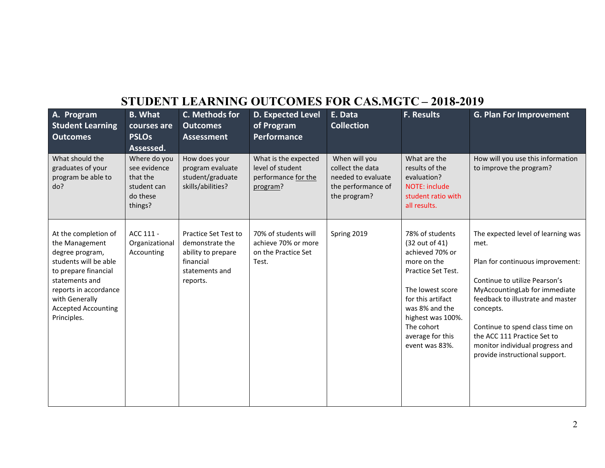## **STUDENT LEARNING OUTCOMES FOR CAS.MGTC – 2018-2019**

| A. Program<br><b>Student Learning</b><br><b>Outcomes</b>                                                                                                                                                             | <b>B.</b> What<br>courses are<br><b>PSLOs</b><br>Assessed.                     | C. Methods for<br><b>Outcomes</b><br><b>Assessment</b>                                                   | <b>D. Expected Level</b><br>of Program<br>Performance                       | E. Data<br><b>Collection</b>                                                                  | F. Results                                                                                                                                                                                                                    | <b>G. Plan For Improvement</b>                                                                                                                                                                                                                                                                                                            |
|----------------------------------------------------------------------------------------------------------------------------------------------------------------------------------------------------------------------|--------------------------------------------------------------------------------|----------------------------------------------------------------------------------------------------------|-----------------------------------------------------------------------------|-----------------------------------------------------------------------------------------------|-------------------------------------------------------------------------------------------------------------------------------------------------------------------------------------------------------------------------------|-------------------------------------------------------------------------------------------------------------------------------------------------------------------------------------------------------------------------------------------------------------------------------------------------------------------------------------------|
| What should the<br>graduates of your<br>program be able to<br>do?                                                                                                                                                    | Where do you<br>see evidence<br>that the<br>student can<br>do these<br>things? | How does your<br>program evaluate<br>student/graduate<br>skills/abilities?                               | What is the expected<br>level of student<br>performance for the<br>program? | When will you<br>collect the data<br>needed to evaluate<br>the performance of<br>the program? | What are the<br>results of the<br>evaluation?<br>NOTE: include<br>student ratio with<br>all results.                                                                                                                          | How will you use this information<br>to improve the program?                                                                                                                                                                                                                                                                              |
| At the completion of<br>the Management<br>degree program,<br>students will be able<br>to prepare financial<br>statements and<br>reports in accordance<br>with Generally<br><b>Accepted Accounting</b><br>Principles. | ACC 111 -<br>Organizational<br>Accounting                                      | Practice Set Test to<br>demonstrate the<br>ability to prepare<br>financial<br>statements and<br>reports. | 70% of students will<br>achieve 70% or more<br>on the Practice Set<br>Test. | Spring 2019                                                                                   | 78% of students<br>(32 out of 41)<br>achieved 70% or<br>more on the<br>Practice Set Test.<br>The lowest score<br>for this artifact<br>was 8% and the<br>highest was 100%.<br>The cohort<br>average for this<br>event was 83%. | The expected level of learning was<br>met.<br>Plan for continuous improvement:<br>Continue to utilize Pearson's<br>MyAccountingLab for immediate<br>feedback to illustrate and master<br>concepts.<br>Continue to spend class time on<br>the ACC 111 Practice Set to<br>monitor individual progress and<br>provide instructional support. |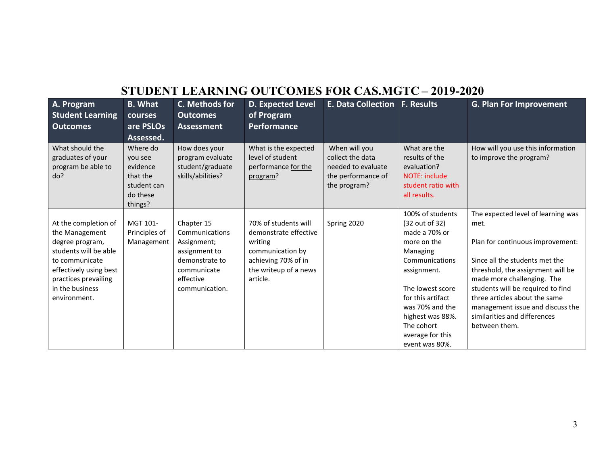# **STUDENT LEARNING OUTCOMES FOR CAS.MGTC – 2019-2020**

| A. Program                           | <b>B.</b> What      | C. Methods for                    | <b>D. Expected Level</b>                 | <b>E. Data Collection F. Results</b> |                                | <b>G. Plan For Improvement</b>                               |
|--------------------------------------|---------------------|-----------------------------------|------------------------------------------|--------------------------------------|--------------------------------|--------------------------------------------------------------|
| <b>Student Learning</b>              | courses             | <b>Outcomes</b>                   | of Program                               |                                      |                                |                                                              |
| <b>Outcomes</b>                      | are PSLOs           | Assessment                        | <b>Performance</b>                       |                                      |                                |                                                              |
|                                      | Assessed.           |                                   |                                          |                                      |                                |                                                              |
| What should the<br>graduates of your | Where do<br>you see | How does your<br>program evaluate | What is the expected<br>level of student | When will you<br>collect the data    | What are the<br>results of the | How will you use this information<br>to improve the program? |
| program be able to                   | evidence            | student/graduate                  | performance for the                      | needed to evaluate                   | evaluation?                    |                                                              |
| do?                                  | that the            | skills/abilities?                 | program?                                 | the performance of                   | NOTE: include                  |                                                              |
|                                      | student can         |                                   |                                          | the program?                         | student ratio with             |                                                              |
|                                      | do these            |                                   |                                          |                                      | all results.                   |                                                              |
|                                      | things?             |                                   |                                          |                                      |                                |                                                              |
|                                      |                     |                                   |                                          |                                      | 100% of students               | The expected level of learning was                           |
| At the completion of                 | MGT 101-            | Chapter 15                        | 70% of students will                     | Spring 2020                          | (32 out of 32)                 | met.                                                         |
| the Management                       | Principles of       | Communications                    | demonstrate effective                    |                                      | made a 70% or                  |                                                              |
| degree program,                      | Management          | Assignment;                       | writing                                  |                                      | more on the                    | Plan for continuous improvement:                             |
| students will be able                |                     | assignment to                     | communication by                         |                                      | Managing                       |                                                              |
| to communicate                       |                     | demonstrate to                    | achieving 70% of in                      |                                      | Communications                 | Since all the students met the                               |
| effectively using best               |                     | communicate                       | the writeup of a news                    |                                      | assignment.                    | threshold, the assignment will be                            |
| practices prevailing                 |                     | effective                         | article.                                 |                                      |                                | made more challenging. The                                   |
| in the business                      |                     | communication.                    |                                          |                                      | The lowest score               | students will be required to find                            |
| environment.                         |                     |                                   |                                          |                                      | for this artifact              | three articles about the same                                |
|                                      |                     |                                   |                                          |                                      | was 70% and the                | management issue and discuss the                             |
|                                      |                     |                                   |                                          |                                      | highest was 88%.               | similarities and differences                                 |
|                                      |                     |                                   |                                          |                                      | The cohort                     | between them.                                                |
|                                      |                     |                                   |                                          |                                      | average for this               |                                                              |
|                                      |                     |                                   |                                          |                                      | event was 80%.                 |                                                              |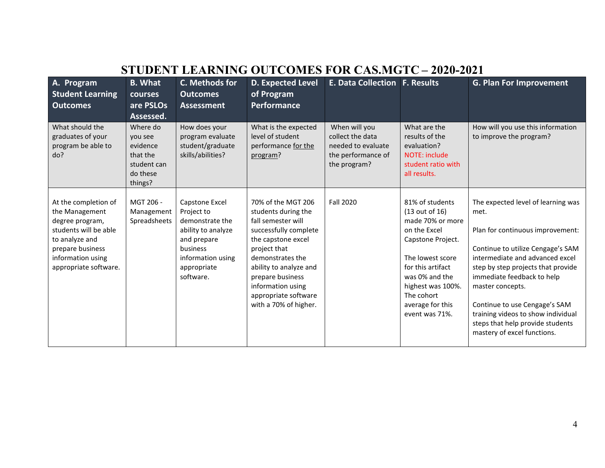| STUDENT LEARNING OUTCOMES FOR CAS.MGTC – 2020-2021                                                                                                                     |                                                                                   |                                                                                                                                                   |                                                                                                                                                                                                                                                                        |                                                                                               |                                                                                                                                                                                                                                |                                                                                                                                                                                                                                                                                                                                                                                          |
|------------------------------------------------------------------------------------------------------------------------------------------------------------------------|-----------------------------------------------------------------------------------|---------------------------------------------------------------------------------------------------------------------------------------------------|------------------------------------------------------------------------------------------------------------------------------------------------------------------------------------------------------------------------------------------------------------------------|-----------------------------------------------------------------------------------------------|--------------------------------------------------------------------------------------------------------------------------------------------------------------------------------------------------------------------------------|------------------------------------------------------------------------------------------------------------------------------------------------------------------------------------------------------------------------------------------------------------------------------------------------------------------------------------------------------------------------------------------|
| A. Program<br><b>Student Learning</b><br><b>Outcomes</b>                                                                                                               | <b>B.</b> What<br>courses<br>are PSLOs<br>Assessed.                               | C. Methods for<br><b>Outcomes</b><br><b>Assessment</b>                                                                                            | <b>D. Expected Level</b><br>of Program<br>Performance                                                                                                                                                                                                                  | <b>E. Data Collection F. Results</b>                                                          |                                                                                                                                                                                                                                | <b>G. Plan For Improvement</b>                                                                                                                                                                                                                                                                                                                                                           |
| What should the<br>graduates of your<br>program be able to<br>do?                                                                                                      | Where do<br>you see<br>evidence<br>that the<br>student can<br>do these<br>things? | How does your<br>program evaluate<br>student/graduate<br>skills/abilities?                                                                        | What is the expected<br>level of student<br>performance for the<br>program?                                                                                                                                                                                            | When will you<br>collect the data<br>needed to evaluate<br>the performance of<br>the program? | What are the<br>results of the<br>evaluation?<br><b>NOTE: include</b><br>student ratio with<br>all results.                                                                                                                    | How will you use this information<br>to improve the program?                                                                                                                                                                                                                                                                                                                             |
| At the completion of<br>the Management<br>degree program,<br>students will be able<br>to analyze and<br>prepare business<br>information using<br>appropriate software. | MGT 206 -<br>Management<br>Spreadsheets                                           | Capstone Excel<br>Project to<br>demonstrate the<br>ability to analyze<br>and prepare<br>business<br>information using<br>appropriate<br>software. | 70% of the MGT 206<br>students during the<br>fall semester will<br>successfully complete<br>the capstone excel<br>project that<br>demonstrates the<br>ability to analyze and<br>prepare business<br>information using<br>appropriate software<br>with a 70% of higher. | <b>Fall 2020</b>                                                                              | 81% of students<br>(13 out of 16)<br>made 70% or more<br>on the Excel<br>Capstone Project.<br>The lowest score<br>for this artifact<br>was 0% and the<br>highest was 100%.<br>The cohort<br>average for this<br>event was 71%. | The expected level of learning was<br>met.<br>Plan for continuous improvement:<br>Continue to utilize Cengage's SAM<br>intermediate and advanced excel<br>step by step projects that provide<br>immediate feedback to help<br>master concepts.<br>Continue to use Cengage's SAM<br>training videos to show individual<br>steps that help provide students<br>mastery of excel functions. |

## **STUDENT LEARNING OUTCOMES FOR CAS.MGTC – 2020-2021**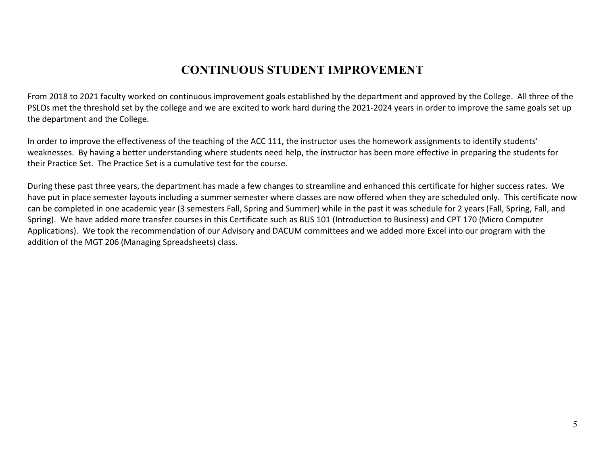### **CONTINUOUS STUDENT IMPROVEMENT**

From 2018 to 2021 faculty worked on continuous improvement goals established by the department and approved by the College. All three of the PSLOs met the threshold set by the college and we are excited to work hard during the 2021-2024 years in order to improve the same goals set up the department and the College.

In order to improve the effectiveness of the teaching of the ACC 111, the instructor uses the homework assignments to identify students' weaknesses. By having a better understanding where students need help, the instructor has been more effective in preparing the students for their Practice Set. The Practice Set is a cumulative test for the course.

During these past three years, the department has made a few changes to streamline and enhanced this certificate for higher success rates. We have put in place semester layouts including a summer semester where classes are now offered when they are scheduled only. This certificate now can be completed in one academic year (3 semesters Fall, Spring and Summer) while in the past it was schedule for 2 years (Fall, Spring, Fall, and Spring). We have added more transfer courses in this Certificate such as BUS 101 (Introduction to Business) and CPT 170 (Micro Computer Applications). We took the recommendation of our Advisory and DACUM committees and we added more Excel into our program with the addition of the MGT 206 (Managing Spreadsheets) class.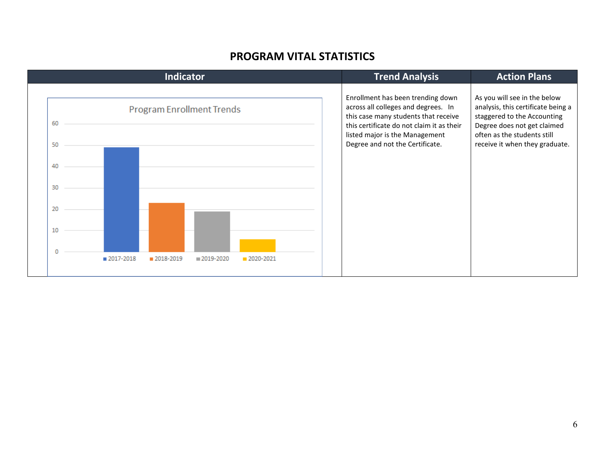#### **PROGRAM VITAL STATISTICS**

| <b>Indicator</b>                                                  | <b>Trend Analysis</b>                                                                                                                                                                                                              | <b>Action Plans</b>                                                                                                                                                                               |
|-------------------------------------------------------------------|------------------------------------------------------------------------------------------------------------------------------------------------------------------------------------------------------------------------------------|---------------------------------------------------------------------------------------------------------------------------------------------------------------------------------------------------|
| <b>Program Enrollment Trends</b><br>60<br>50                      | Enrollment has been trending down<br>across all colleges and degrees. In<br>this case many students that receive<br>this certificate do not claim it as their<br>listed major is the Management<br>Degree and not the Certificate. | As you will see in the below<br>analysis, this certificate being a<br>staggered to the Accounting<br>Degree does not get claimed<br>often as the students still<br>receive it when they graduate. |
| 40<br>30                                                          |                                                                                                                                                                                                                                    |                                                                                                                                                                                                   |
| 20                                                                |                                                                                                                                                                                                                                    |                                                                                                                                                                                                   |
| 10                                                                |                                                                                                                                                                                                                                    |                                                                                                                                                                                                   |
| n<br>$2017 - 2018$<br>■ 2018-2019<br>$2019 - 2020$<br>■ 2020-2021 |                                                                                                                                                                                                                                    |                                                                                                                                                                                                   |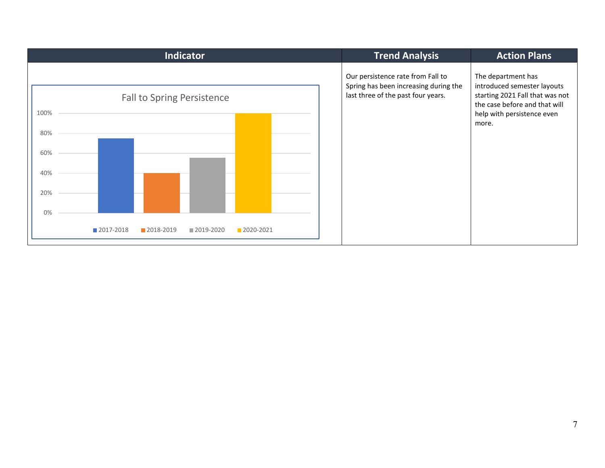| <b>Indicator</b>                                                            | <b>Trend Analysis</b>                                                                                            | <b>Action Plans</b>                                                                                                                                          |
|-----------------------------------------------------------------------------|------------------------------------------------------------------------------------------------------------------|--------------------------------------------------------------------------------------------------------------------------------------------------------------|
| <b>Fall to Spring Persistence</b><br>100%<br>80%<br>60%<br>40%<br>20%<br>0% | Our persistence rate from Fall to<br>Spring has been increasing during the<br>last three of the past four years. | The department has<br>introduced semester layouts<br>starting 2021 Fall that was not<br>the case before and that will<br>help with persistence even<br>more. |
| ■ 2017-2018<br>2018-2019<br>■2019-2020<br>2020-2021                         |                                                                                                                  |                                                                                                                                                              |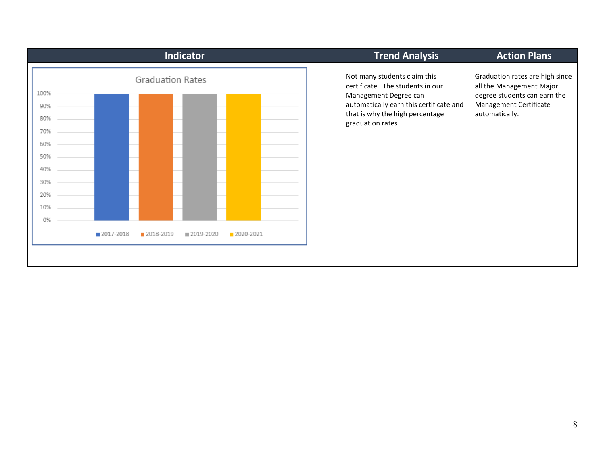